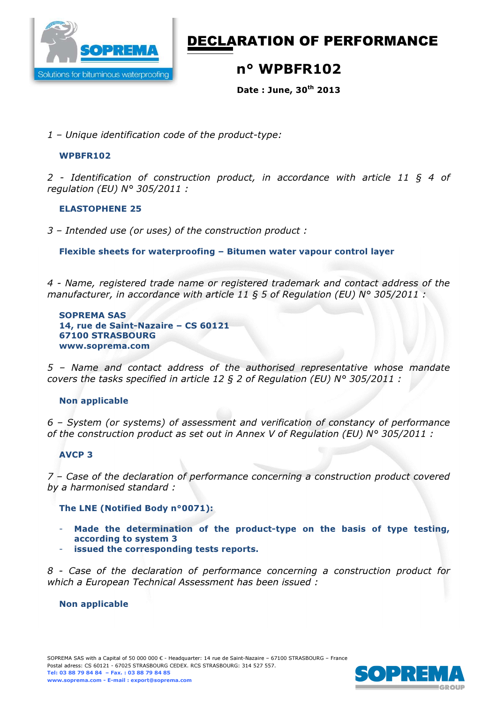

# DECLARATION OF PERFORMANCE

## n° WPBFR102

Date : June, 30th 2013

*1 – Unique identification code of the product-type:* 

### WPBFR102

*2 - Identification of construction product, in accordance with article 11 § 4 of regulation (EU) N° 305/2011 :* 

#### ELASTOPHENE 25

*3 – Intended use (or uses) of the construction product :*

Flexible sheets for waterproofing – Bitumen water vapour control layer

*4 - Name, registered trade name or registered trademark and contact address of the manufacturer, in accordance with article 11 § 5 of Regulation (EU) N° 305/2011 :* 

SOPREMA SAS 14, rue de Saint-Nazaire – CS 60121 67100 STRASBOURG www.soprema.com

*5 – Name and contact address of the authorised representative whose mandate covers the tasks specified in article 12 § 2 of Regulation (EU) N° 305/2011 :* 

### Non applicable

*6 – System (or systems) of assessment and verification of constancy of performance of the construction product as set out in Annex V of Regulation (EU) N° 305/2011 :* 

### AVCP 3

*7 – Case of the declaration of performance concerning a construction product covered by a harmonised standard :* 

The LNE (Notified Body n°0071):

- Made the determination of the product-type on the basis of type testing, according to system 3
- issued the corresponding tests reports.

*8 - Case of the declaration of performance concerning a construction product for which a European Technical Assessment has been issued :* 

#### Non applicable